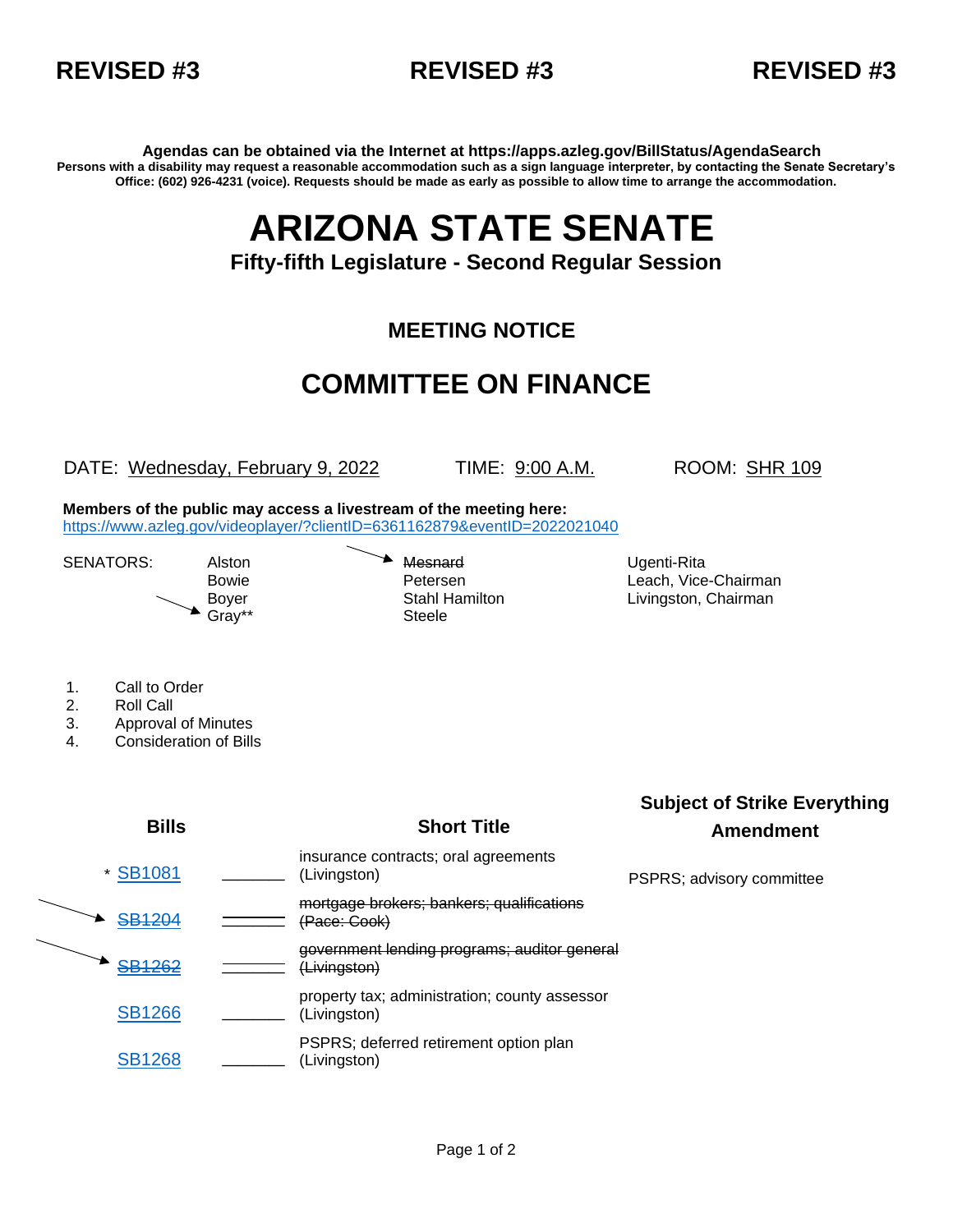



**Agendas can be obtained via the Internet at https://apps.azleg.gov/BillStatus/AgendaSearch Persons with a disability may request a reasonable accommodation such as a sign language interpreter, by contacting the Senate Secretary's Office: (602) 926-4231 (voice). Requests should be made as early as possible to allow time to arrange the accommodation.**

## **ARIZONA STATE SENATE**

**Fifty-fifth Legislature - Second Regular Session**

## **MEETING NOTICE**

## **COMMITTEE ON FINANCE**

DATE: Wednesday, February 9, 2022 TIME: 9:00 A.M. ROOM: SHR 109

**Members of the public may access a livestream of the meeting here:**  <https://www.azleg.gov/videoplayer/?clientID=6361162879&eventID=2022021040>

SENATORS: Alston **Mesnard** Mesnard Ugenti-Rita Gray\*\* Steele

Bowie **Petersen** Petersen Leach, Vice-Chairman Boyer Stahl Hamilton Livingston, Chairman

- 1. Call to Order
- 2. Roll Call
- 3. Approval of Minutes
- 4. Consideration of Bills

|  | <b>Bills</b>  | <b>Short Title</b>                                                   | <b>Subject of Strike Everything</b><br>Amendment |
|--|---------------|----------------------------------------------------------------------|--------------------------------------------------|
|  | * SB1081      | insurance contracts; oral agreements<br>(Livingston)                 | PSPRS; advisory committee                        |
|  | <b>SB1204</b> | mortgage brokers; bankers; qualifications<br><del>(Pace: Cook)</del> |                                                  |
|  | <b>SB1262</b> | government lending programs; auditor general<br>(Livingston)         |                                                  |
|  | <b>SB1266</b> | property tax; administration; county assessor<br>(Livingston)        |                                                  |
|  | <b>SB1268</b> | PSPRS; deferred retirement option plan<br>(Livingston)               |                                                  |